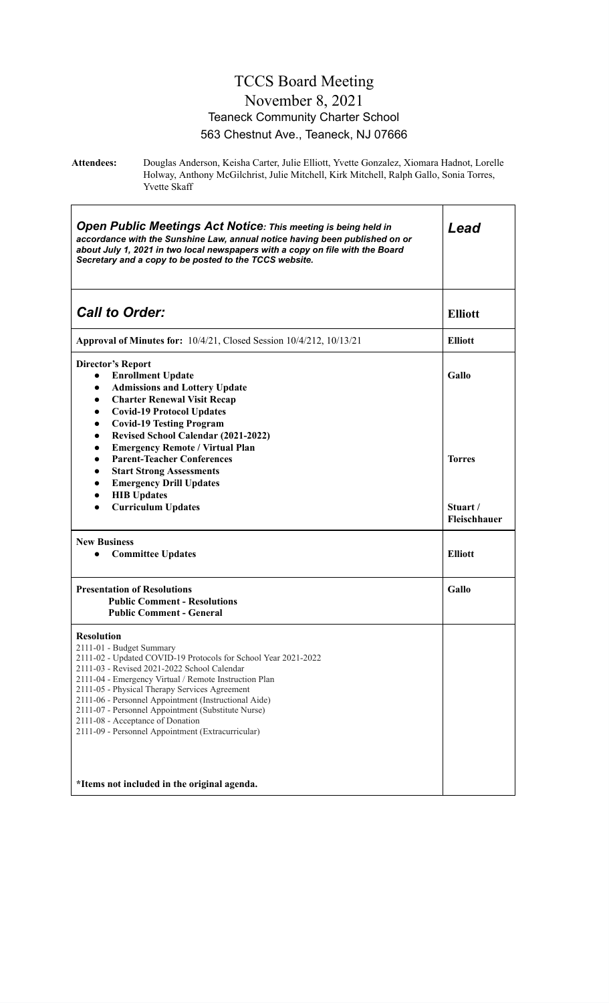#### TCCS Board Meeting November 8, 2021 Teaneck Community Charter School 563 Chestnut Ave., Teaneck, NJ 07666

**Attendees:** Douglas Anderson, Keisha Carter, Julie Elliott, Yvette Gonzalez, Xiomara Hadnot, Lorelle Holway, Anthony McGilchrist, Julie Mitchell, Kirk Mitchell, Ralph Gallo, Sonia Torres, Yvette Skaff

| <b>Open Public Meetings Act Notice: This meeting is being held in</b><br>accordance with the Sunshine Law, annual notice having been published on or<br>about July 1, 2021 in two local newspapers with a copy on file with the Board<br>Secretary and a copy to be posted to the TCCS website.                                                                                                                                                                                                                                | Lead                     |  |
|--------------------------------------------------------------------------------------------------------------------------------------------------------------------------------------------------------------------------------------------------------------------------------------------------------------------------------------------------------------------------------------------------------------------------------------------------------------------------------------------------------------------------------|--------------------------|--|
| <b>Call to Order:</b>                                                                                                                                                                                                                                                                                                                                                                                                                                                                                                          | <b>Elliott</b>           |  |
| Approval of Minutes for: 10/4/21, Closed Session 10/4/212, 10/13/21                                                                                                                                                                                                                                                                                                                                                                                                                                                            | <b>Elliott</b>           |  |
| <b>Director's Report</b><br><b>Enrollment Update</b><br>$\bullet$<br><b>Admissions and Lottery Update</b><br>$\bullet$<br><b>Charter Renewal Visit Recap</b><br>$\bullet$<br><b>Covid-19 Protocol Updates</b><br>$\bullet$                                                                                                                                                                                                                                                                                                     | Gallo                    |  |
| <b>Covid-19 Testing Program</b><br>$\bullet$<br>Revised School Calendar (2021-2022)<br>$\bullet$<br><b>Emergency Remote / Virtual Plan</b><br>$\bullet$<br><b>Parent-Teacher Conferences</b><br>$\bullet$<br><b>Start Strong Assessments</b><br>$\bullet$<br><b>Emergency Drill Updates</b><br>$\bullet$                                                                                                                                                                                                                       | <b>Torres</b>            |  |
| <b>HIB Updates</b><br>$\bullet$<br><b>Curriculum Updates</b><br>$\bullet$                                                                                                                                                                                                                                                                                                                                                                                                                                                      | Stuart /<br>Fleischhauer |  |
| <b>New Business</b><br><b>Committee Updates</b><br>$\bullet$                                                                                                                                                                                                                                                                                                                                                                                                                                                                   | <b>Elliott</b>           |  |
| <b>Presentation of Resolutions</b><br><b>Public Comment - Resolutions</b><br><b>Public Comment - General</b>                                                                                                                                                                                                                                                                                                                                                                                                                   | Gallo                    |  |
| <b>Resolution</b><br>2111-01 - Budget Summary<br>2111-02 - Updated COVID-19 Protocols for School Year 2021-2022<br>2111-03 - Revised 2021-2022 School Calendar<br>2111-04 - Emergency Virtual / Remote Instruction Plan<br>2111-05 - Physical Therapy Services Agreement<br>2111-06 - Personnel Appointment (Instructional Aide)<br>2111-07 - Personnel Appointment (Substitute Nurse)<br>2111-08 - Acceptance of Donation<br>2111-09 - Personnel Appointment (Extracurricular)<br>*Items not included in the original agenda. |                          |  |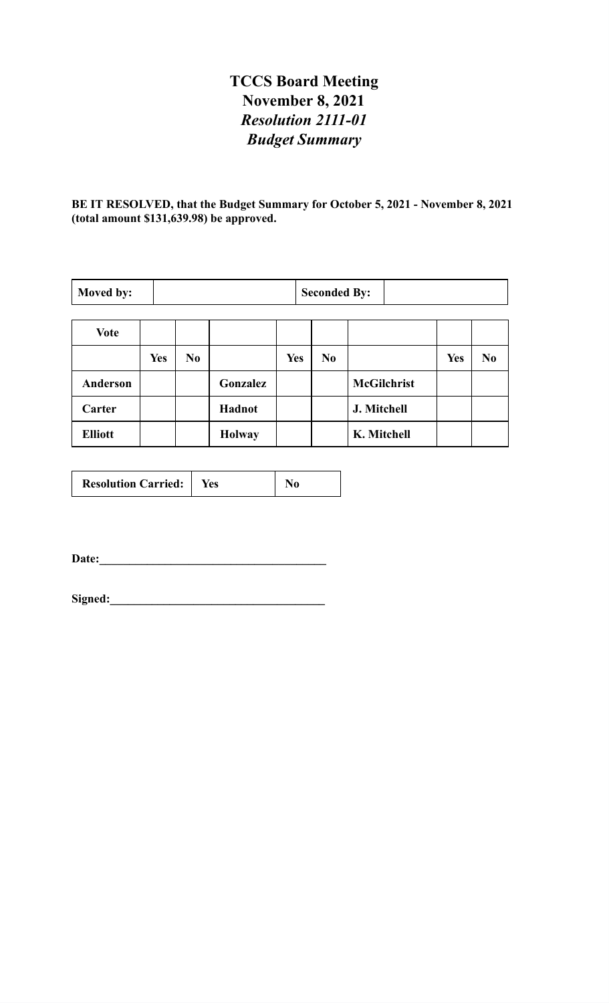# **TCCS Board Meeting November 8, 2021** *Resolution 2111-01 Budget Summary*

**BE IT RESOLVED, that the Budget Summary for October 5, 2021 - November 8, 2021 (total amount \$131,639.98) be approved.**

| Moved by:       |            | <b>Seconded By:</b> |               |            |                |                    |            |                |
|-----------------|------------|---------------------|---------------|------------|----------------|--------------------|------------|----------------|
| Vote            |            |                     |               |            |                |                    |            |                |
|                 | <b>Yes</b> | N <sub>0</sub>      |               | <b>Yes</b> | N <sub>0</sub> |                    | <b>Yes</b> | N <sub>0</sub> |
| <b>Anderson</b> |            |                     | Gonzalez      |            |                | <b>McGilchrist</b> |            |                |
| Carter          |            |                     | Hadnot        |            |                | J. Mitchell        |            |                |
| <b>Elliott</b>  |            |                     | <b>Holway</b> |            |                | K. Mitchell        |            |                |

| <b>Resolution Carried:</b> | Yes |  |
|----------------------------|-----|--|
|----------------------------|-----|--|

**Date:\_\_\_\_\_\_\_\_\_\_\_\_\_\_\_\_\_\_\_\_\_\_\_\_\_\_\_\_\_\_\_\_\_\_\_\_\_\_**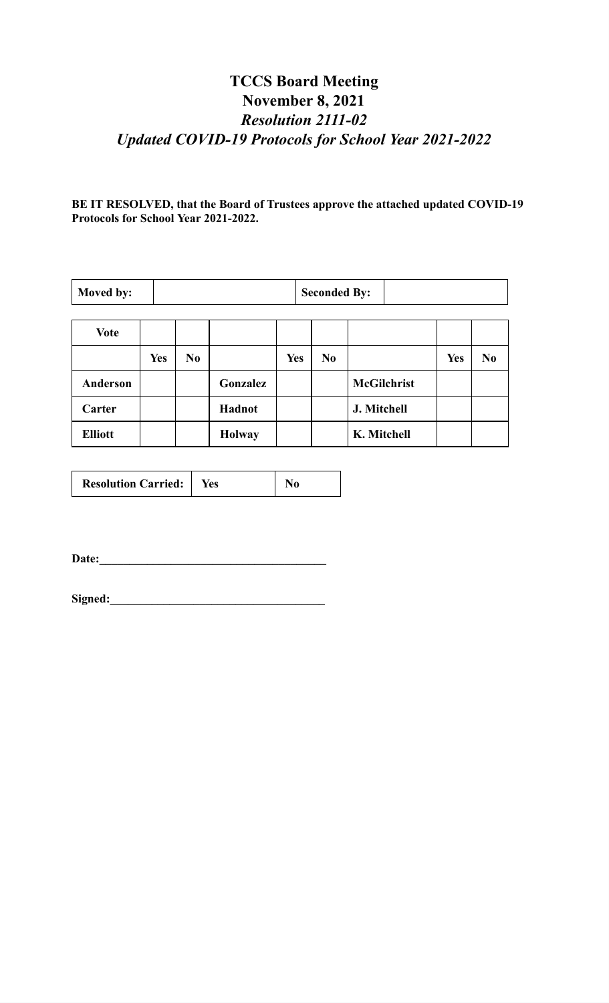# **TCCS Board Meeting November 8, 2021** *Resolution 2111-02 Updated COVID-19 Protocols for School Year 2021-2022*

**BE IT RESOLVED, that the Board of Trustees approve the attached updated COVID-19 Protocols for School Year 2021-2022.**

| Moved by:       |            | <b>Seconded By:</b> |               |            |    |                    |            |          |
|-----------------|------------|---------------------|---------------|------------|----|--------------------|------------|----------|
| <b>Vote</b>     |            |                     |               |            |    |                    |            |          |
|                 | <b>Yes</b> | $\bf No$            |               | <b>Yes</b> | No |                    | <b>Yes</b> | $\bf No$ |
| <b>Anderson</b> |            |                     | Gonzalez      |            |    | <b>McGilchrist</b> |            |          |
| Carter          |            |                     | Hadnot        |            |    | J. Mitchell        |            |          |
| <b>Elliott</b>  |            |                     | <b>Holway</b> |            |    | K. Mitchell        |            |          |

| <b>Resolution Carried:</b><br>Yes |
|-----------------------------------|
|-----------------------------------|

**Date:\_\_\_\_\_\_\_\_\_\_\_\_\_\_\_\_\_\_\_\_\_\_\_\_\_\_\_\_\_\_\_\_\_\_\_\_\_\_**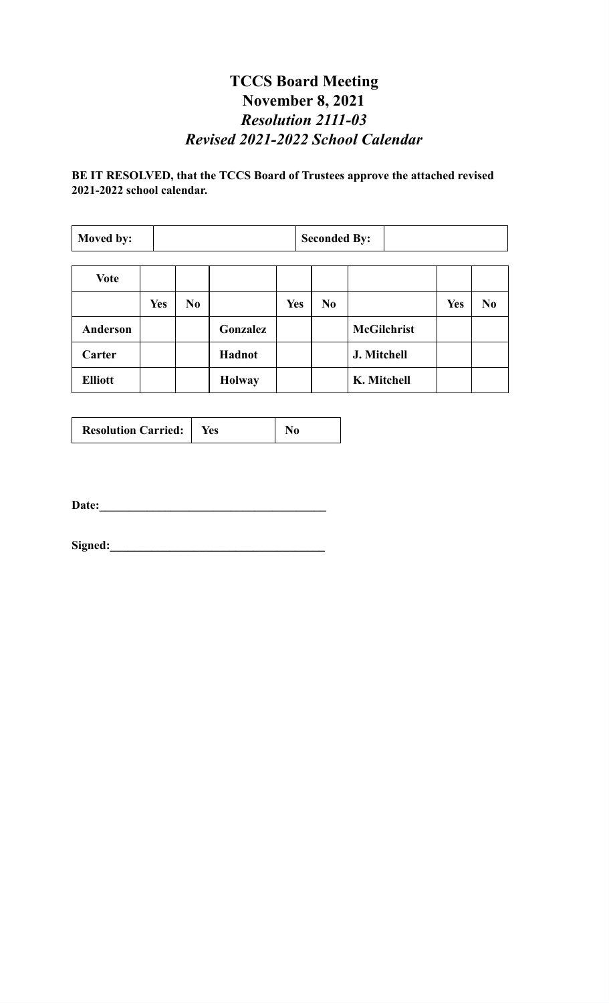#### **TCCS Board Meeting November 8, 2021** *Resolution 2111-03 Revised 2021-2022 School Calendar*

#### **BE IT RESOLVED, that the TCCS Board of Trustees approve the attached revised 2021-2022 school calendar.**

| Moved by:       |            | <b>Seconded By:</b> |               |            |  |                |                    |            |                |
|-----------------|------------|---------------------|---------------|------------|--|----------------|--------------------|------------|----------------|
|                 |            |                     |               |            |  |                |                    |            |                |
| <b>Vote</b>     |            |                     |               |            |  |                |                    |            |                |
|                 | <b>Yes</b> | N <sub>0</sub>      |               | <b>Yes</b> |  | N <sub>0</sub> |                    | <b>Yes</b> | N <sub>0</sub> |
| <b>Anderson</b> |            |                     | Gonzalez      |            |  |                | <b>McGilchrist</b> |            |                |
| Carter          |            |                     | Hadnot        |            |  |                | J. Mitchell        |            |                |
| <b>Elliott</b>  |            |                     | <b>Holway</b> |            |  |                | K. Mitchell        |            |                |

| <b>Resolution Carried:</b>   Yes |  | N0 |
|----------------------------------|--|----|
|----------------------------------|--|----|

**Date:\_\_\_\_\_\_\_\_\_\_\_\_\_\_\_\_\_\_\_\_\_\_\_\_\_\_\_\_\_\_\_\_\_\_\_\_\_\_**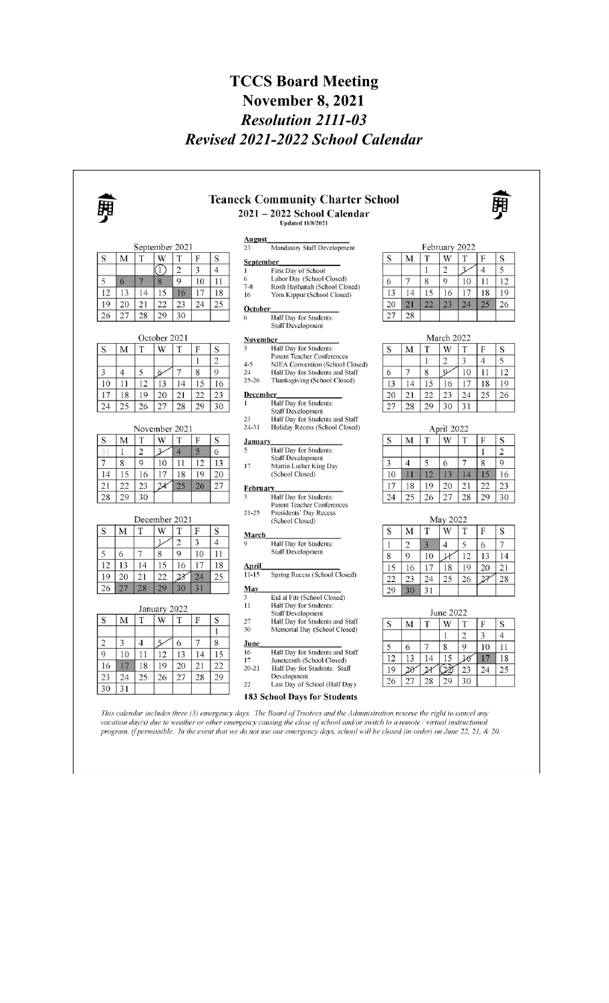#### **TCCS Board Meeting November 8, 2021** *Resolution 2111-03 Revised 2021-2022 School Calendar*

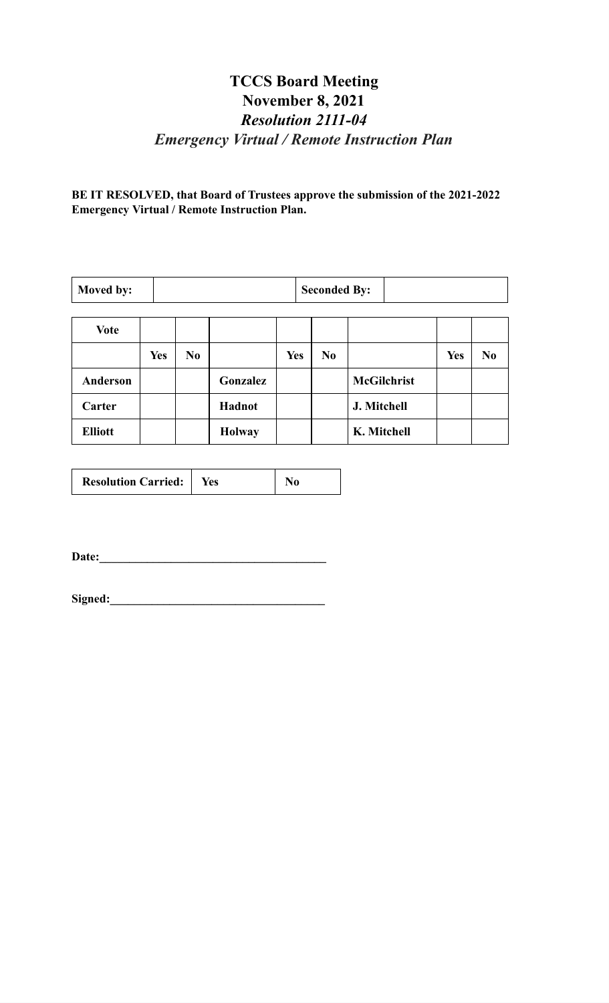# **TCCS Board Meeting November 8, 2021** *Resolution 2111-04 Emergency Virtual / Remote Instruction Plan*

**BE IT RESOLVED, that Board of Trustees approve the submission of the 2021-2022 Emergency Virtual / Remote Instruction Plan.**

| Moved by:      |            | <b>Seconded By:</b> |               |            |          |                    |            |    |
|----------------|------------|---------------------|---------------|------------|----------|--------------------|------------|----|
| <b>Vote</b>    |            |                     |               |            |          |                    |            |    |
|                | <b>Yes</b> | No                  |               | <b>Yes</b> | $\bf No$ |                    | <b>Yes</b> | No |
| Anderson       |            |                     | Gonzalez      |            |          | <b>McGilchrist</b> |            |    |
| Carter         |            |                     | Hadnot        |            |          | J. Mitchell        |            |    |
| <b>Elliott</b> |            |                     | <b>Holway</b> |            |          | K. Mitchell        |            |    |

| <b>Resolution Carried:</b> | res |  |
|----------------------------|-----|--|
|----------------------------|-----|--|

**Date:\_\_\_\_\_\_\_\_\_\_\_\_\_\_\_\_\_\_\_\_\_\_\_\_\_\_\_\_\_\_\_\_\_\_\_\_\_\_**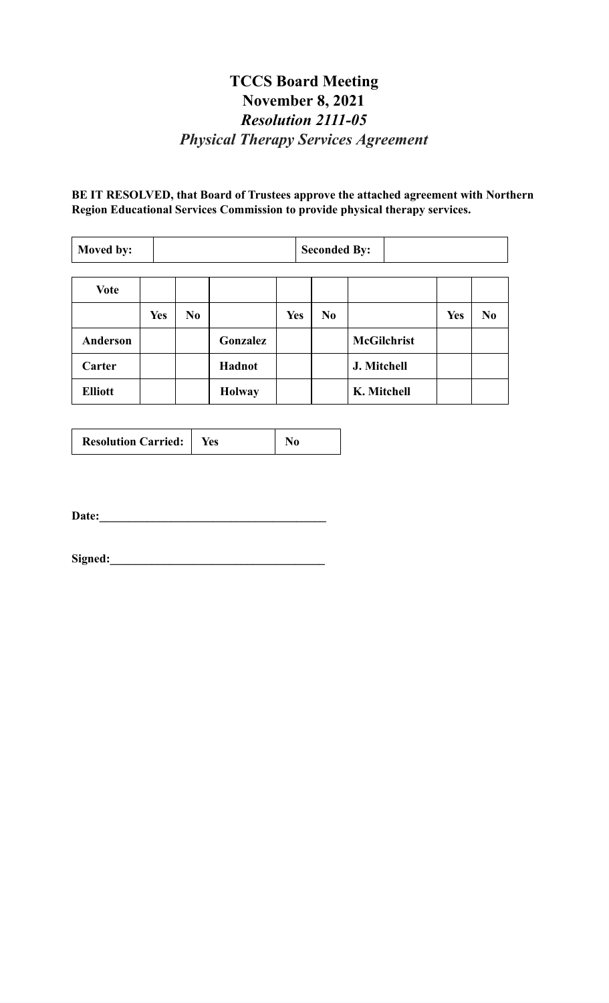# **TCCS Board Meeting November 8, 2021** *Resolution 2111-05 Physical Therapy Services Agreement*

**BE IT RESOLVED, that Board of Trustees approve the attached agreement with Northern Region Educational Services Commission to provide physical therapy services.**

| Moved by:       |            | <b>Seconded By:</b> |               |            |                |                    |            |                |
|-----------------|------------|---------------------|---------------|------------|----------------|--------------------|------------|----------------|
|                 |            |                     |               |            |                |                    |            |                |
| <b>Vote</b>     |            |                     |               |            |                |                    |            |                |
|                 | <b>Yes</b> | N <sub>0</sub>      |               | <b>Yes</b> | N <sub>0</sub> |                    | <b>Yes</b> | N <sub>0</sub> |
| <b>Anderson</b> |            |                     | Gonzalez      |            |                | <b>McGilchrist</b> |            |                |
| Carter          |            |                     | Hadnot        |            |                | J. Mitchell        |            |                |
| <b>Elliott</b>  |            |                     | <b>Holway</b> |            |                | K. Mitchell        |            |                |

| <b>Resolution Carried:</b> | Yes |  |
|----------------------------|-----|--|
|----------------------------|-----|--|

**Date:\_\_\_\_\_\_\_\_\_\_\_\_\_\_\_\_\_\_\_\_\_\_\_\_\_\_\_\_\_\_\_\_\_\_\_\_\_\_**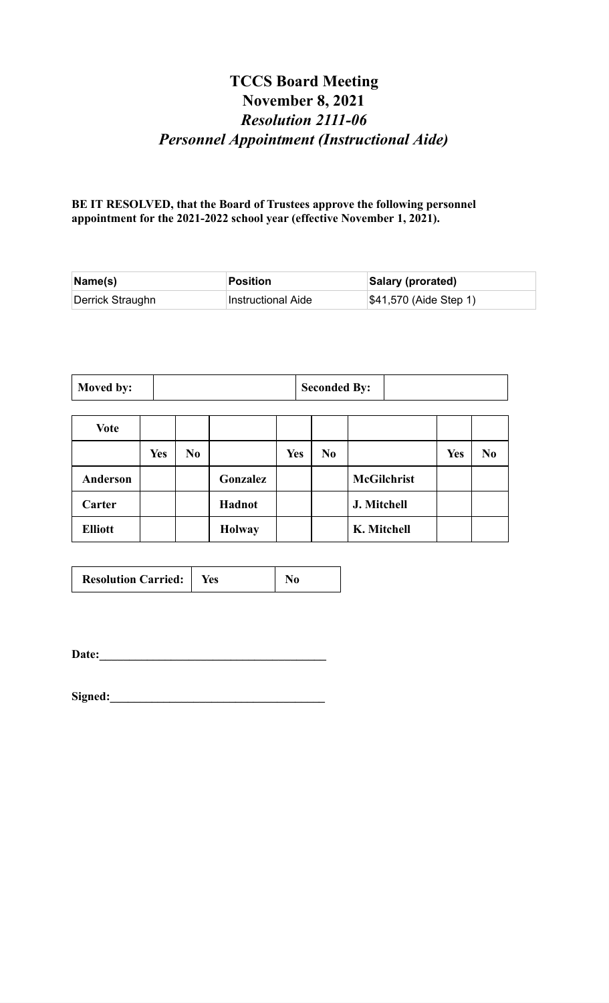# **TCCS Board Meeting November 8, 2021** *Resolution 2111-06 Personnel Appointment (Instructional Aide)*

**BE IT RESOLVED, that the Board of Trustees approve the following personnel appointment for the 2021-2022 school year (effective November 1, 2021).**

| $\mathsf{Name}(\mathsf{s})$ | Position           | Salary (prorated)      |
|-----------------------------|--------------------|------------------------|
| Derrick Straughn            | Instructional Aide | \$41,570 (Aide Step 1) |

| Moved by:<br><b>Seconded By:</b> |  |
|----------------------------------|--|
|----------------------------------|--|

| <b>Vote</b>     |            |                |               |     |                |                    |            |                |
|-----------------|------------|----------------|---------------|-----|----------------|--------------------|------------|----------------|
|                 | <b>Yes</b> | N <sub>0</sub> |               | Yes | N <sub>0</sub> |                    | <b>Yes</b> | N <sub>0</sub> |
| <b>Anderson</b> |            |                | Gonzalez      |     |                | <b>McGilchrist</b> |            |                |
| Carter          |            |                | Hadnot        |     |                | J. Mitchell        |            |                |
| <b>Elliott</b>  |            |                | <b>Holway</b> |     |                | K. Mitchell        |            |                |

| <b>Resolution Carried:</b>   Yes |  | N <sub>0</sub> |
|----------------------------------|--|----------------|
|----------------------------------|--|----------------|

**Date:\_\_\_\_\_\_\_\_\_\_\_\_\_\_\_\_\_\_\_\_\_\_\_\_\_\_\_\_\_\_\_\_\_\_\_\_\_\_**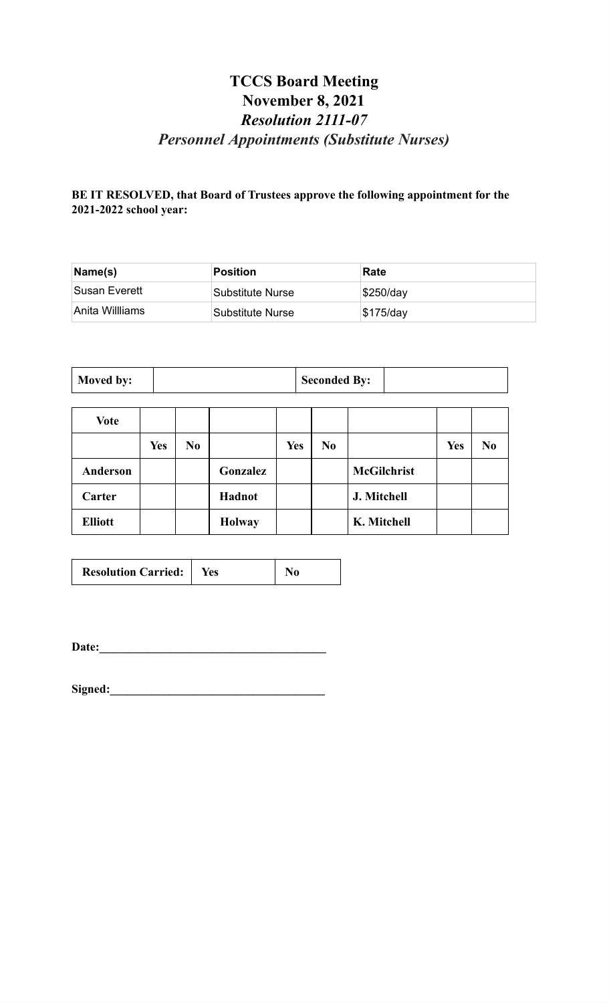# **TCCS Board Meeting November 8, 2021** *Resolution 2111-07 Personnel Appointments (Substitute Nurses)*

#### **BE IT RESOLVED, that Board of Trustees approve the following appointment for the 2021-2022 school year:**

| Name(s)          | Position         | Rate          |
|------------------|------------------|---------------|
| ⊺Susan Everett   | Substitute Nurse | $ \$250$ /day |
| ⊺Anita Willliams | Substitute Nurse | \$175/day     |

| Moved by: | <b>Seconded By:</b> |  |
|-----------|---------------------|--|
|-----------|---------------------|--|

| <b>Vote</b>     |            |                |               |            |     |                    |            |                |
|-----------------|------------|----------------|---------------|------------|-----|--------------------|------------|----------------|
|                 | <b>Yes</b> | N <sub>0</sub> |               | <b>Yes</b> | No. |                    | <b>Yes</b> | N <sub>0</sub> |
| <b>Anderson</b> |            |                | Gonzalez      |            |     | <b>McGilchrist</b> |            |                |
| Carter          |            |                | Hadnot        |            |     | J. Mitchell        |            |                |
| <b>Elliott</b>  |            |                | <b>Holway</b> |            |     | K. Mitchell        |            |                |

| <b>Resolution Carried:</b>   Yes |  | N <sub>0</sub> |
|----------------------------------|--|----------------|
|----------------------------------|--|----------------|

**Date:\_\_\_\_\_\_\_\_\_\_\_\_\_\_\_\_\_\_\_\_\_\_\_\_\_\_\_\_\_\_\_\_\_\_\_\_\_\_**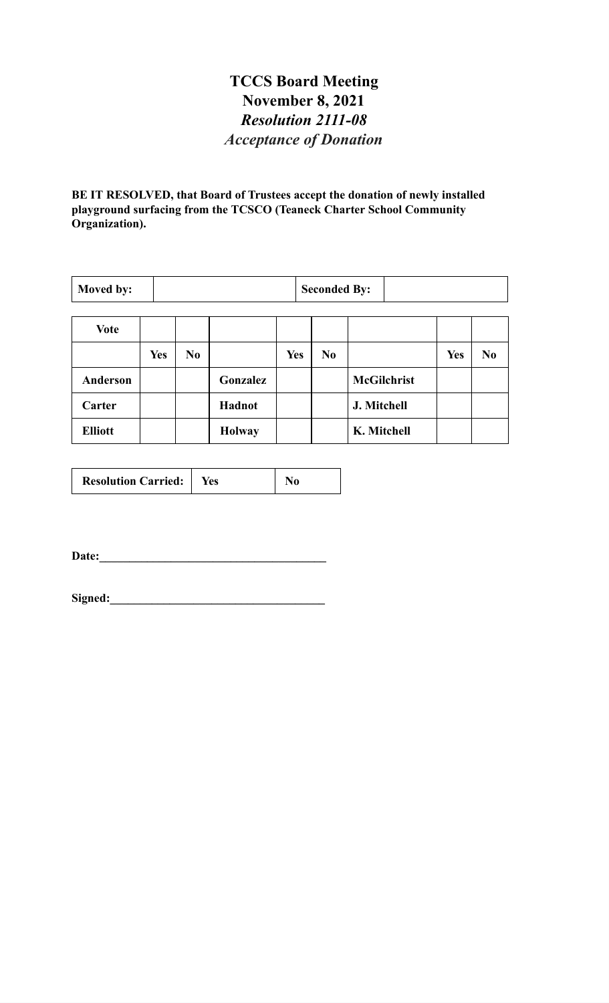# **TCCS Board Meeting November 8, 2021** *Resolution 2111-08 Acceptance of Donation*

**BE IT RESOLVED, that Board of Trustees accept the donation of newly installed playground surfacing from the TCSCO (Teaneck Charter School Community Organization).**

| Moved by:       |            | <b>Seconded By:</b> |               |            |                |                    |     |                |
|-----------------|------------|---------------------|---------------|------------|----------------|--------------------|-----|----------------|
| <b>Vote</b>     |            |                     |               |            |                |                    |     |                |
|                 | <b>Yes</b> | No                  |               | <b>Yes</b> | N <sub>0</sub> |                    | Yes | N <sub>0</sub> |
| <b>Anderson</b> |            |                     | Gonzalez      |            |                | <b>McGilchrist</b> |     |                |
| Carter          |            |                     | Hadnot        |            |                | J. Mitchell        |     |                |
| <b>Elliott</b>  |            |                     | <b>Holway</b> |            |                | K. Mitchell        |     |                |

| <b>Resolution Carried:</b> | Yes |  |
|----------------------------|-----|--|
|----------------------------|-----|--|

**Date:\_\_\_\_\_\_\_\_\_\_\_\_\_\_\_\_\_\_\_\_\_\_\_\_\_\_\_\_\_\_\_\_\_\_\_\_\_\_**